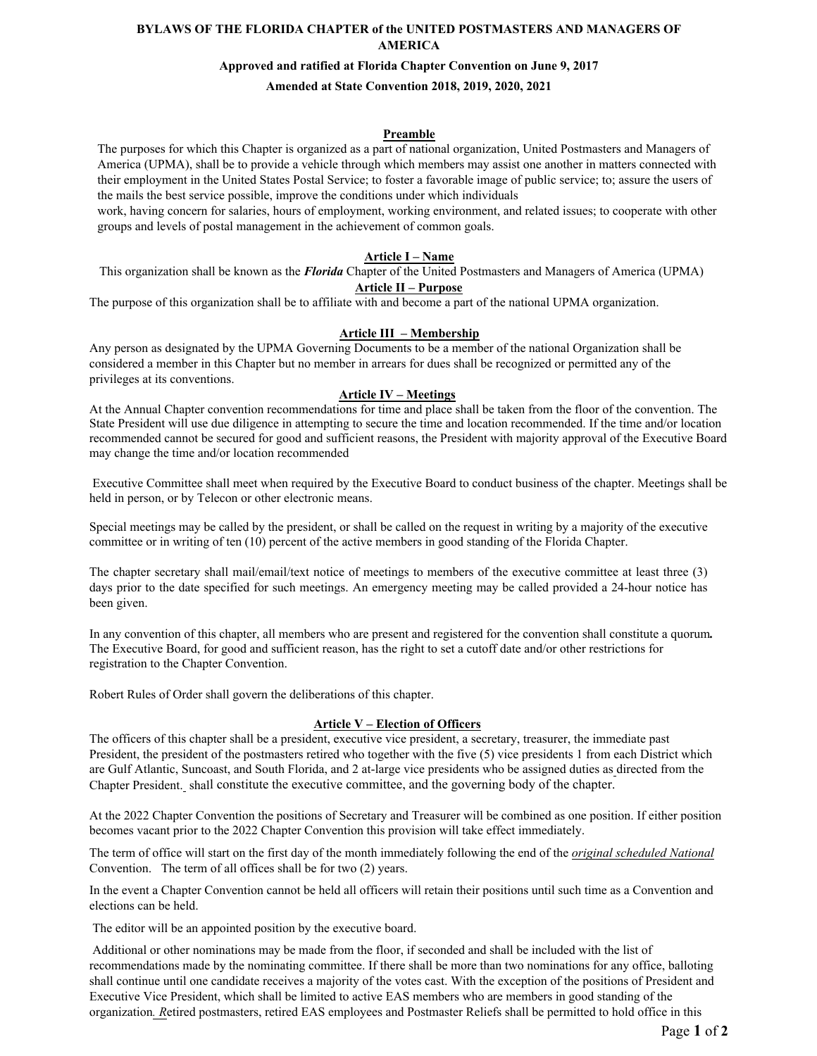# **BYLAWS OF THE FLORIDA CHAPTER of the UNITED POSTMASTERS AND MANAGERS OF AMERICA**

#### **Approved and ratified at Florida Chapter Convention on June 9, 2017**

## **Amended at State Convention 2018, 2019, 2020, 2021**

#### **Preamble**

The purposes for which this Chapter is organized as a part of national organization, United Postmasters and Managers of America (UPMA), shall be to provide a vehicle through which members may assist one another in matters connected with their employment in the United States Postal Service; to foster a favorable image of public service; to; assure the users of the mails the best service possible, improve the conditions under which individuals

work, having concern for salaries, hours of employment, working environment, and related issues; to cooperate with other groups and levels of postal management in the achievement of common goals.

#### **Article I – Name**

This organization shall be known as the *Florida* Chapter of the United Postmasters and Managers of America (UPMA)

# **Article II – Purpose**

The purpose of this organization shall be to affiliate with and become a part of the national UPMA organization.

## **Article III – Membership**

Any person as designated by the UPMA Governing Documents to be a member of the national Organization shall be considered a member in this Chapter but no member in arrears for dues shall be recognized or permitted any of the privileges at its conventions.

### **Article IV – Meetings**

At the Annual Chapter convention recommendations for time and place shall be taken from the floor of the convention. The State President will use due diligence in attempting to secure the time and location recommended. If the time and/or location recommended cannot be secured for good and sufficient reasons, the President with majority approval of the Executive Board may change the time and/or location recommended

Executive Committee shall meet when required by the Executive Board to conduct business of the chapter. Meetings shall be held in person, or by Telecon or other electronic means.

Special meetings may be called by the president, or shall be called on the request in writing by a majority of the executive committee or in writing of ten (10) percent of the active members in good standing of the Florida Chapter.

The chapter secretary shall mail/email/text notice of meetings to members of the executive committee at least three (3) days prior to the date specified for such meetings. An emergency meeting may be called provided a 24-hour notice has been given.

In any convention of this chapter, all members who are present and registered for the convention shall constitute a quorum*.* The Executive Board, for good and sufficient reason, has the right to set a cutoff date and/or other restrictions for registration to the Chapter Convention.

Robert Rules of Order shall govern the deliberations of this chapter.

#### **Article V – Election of Officers**

The officers of this chapter shall be a president, executive vice president, a secretary, treasurer, the immediate past President, the president of the postmasters retired who together with the five (5) vice presidents 1 from each District which are Gulf Atlantic, Suncoast, and South Florida, and 2 at-large vice presidents who be assigned duties as directed from the Chapter President. shall constitute the executive committee, and the governing body of the chapter.

At the 2022 Chapter Convention the positions of Secretary and Treasurer will be combined as one position. If either position becomes vacant prior to the 2022 Chapter Convention this provision will take effect immediately.

The term of office will start on the first day of the month immediately following the end of the *original scheduled National* Convention. The term of all offices shall be for two (2) years.

In the event a Chapter Convention cannot be held all officers will retain their positions until such time as a Convention and elections can be held.

The editor will be an appointed position by the executive board.

 Additional or other nominations may be made from the floor, if seconded and shall be included with the list of recommendations made by the nominating committee. If there shall be more than two nominations for any office, balloting shall continue until one candidate receives a majority of the votes cast. With the exception of the positions of President and Executive Vice President, which shall be limited to active EAS members who are members in good standing of the organization*. R*etired postmasters, retired EAS employees and Postmaster Reliefs shall be permitted to hold office in this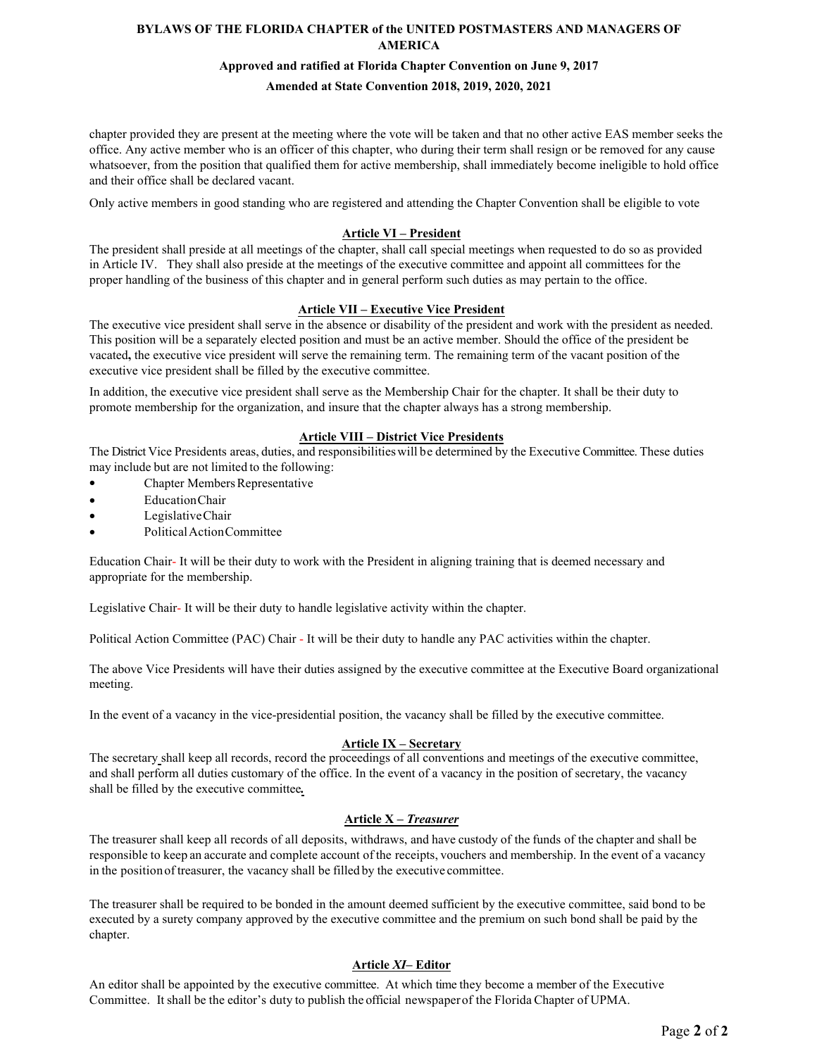## **BYLAWS OF THE FLORIDA CHAPTER of the UNITED POSTMASTERS AND MANAGERS OF AMERICA**

#### **Approved and ratified at Florida Chapter Convention on June 9, 2017**

# **Amended at State Convention 2018, 2019, 2020, 2021**

chapter provided they are present at the meeting where the vote will be taken and that no other active EAS member seeks the office. Any active member who is an officer of this chapter, who during their term shall resign or be removed for any cause whatsoever, from the position that qualified them for active membership, shall immediately become ineligible to hold office and their office shall be declared vacant.

Only active members in good standing who are registered and attending the Chapter Convention shall be eligible to vote

## **Article VI – President**

The president shall preside at all meetings of the chapter, shall call special meetings when requested to do so as provided in Article IV. They shall also preside at the meetings of the executive committee and appoint all committees for the proper handling of the business of this chapter and in general perform such duties as may pertain to the office.

## **Article VII – Executive Vice President**

The executive vice president shall serve in the absence or disability of the president and work with the president as needed. This position will be a separately elected position and must be an active member. Should the office of the president be vacated**,** the executive vice president will serve the remaining term. The remaining term of the vacant position of the executive vice president shall be filled by the executive committee.

In addition, the executive vice president shall serve as the Membership Chair for the chapter. It shall be their duty to promote membership for the organization, and insure that the chapter always has a strong membership.

#### **Article VIII – District Vice Presidents**

The District Vice Presidents areas, duties, and responsibilitieswill be determined by the Executive Committee. These duties may include but are not limited to the following:

- Chapter Members Representative
- EducationChair
- LegislativeChair
- PoliticalActionCommittee

Education Chair- It will be their duty to work with the President in aligning training that is deemed necessary and appropriate for the membership.

Legislative Chair- It will be their duty to handle legislative activity within the chapter.

Political Action Committee (PAC) Chair - It will be their duty to handle any PAC activities within the chapter.

The above Vice Presidents will have their duties assigned by the executive committee at the Executive Board organizational meeting.

In the event of a vacancy in the vice-presidential position, the vacancy shall be filled by the executive committee.

# **Article IX – Secretary**

The secretary shall keep all records, record the proceedings of all conventions and meetings of the executive committee, and shall perform all duties customary of the office. In the event of a vacancy in the position of secretary, the vacancy shall be filled by the executive committee*.*

## **Article X –** *Treasurer*

The treasurer shall keep all records of all deposits, withdraws, and have custody of the funds ofthe chapter and shall be responsible to keep an accurate and complete account of the receipts, vouchers and membership. In the event of a vacancy in the positionof treasurer, the vacancy shall be filled by the executive committee.

The treasurer shall be required to be bonded in the amount deemed sufficient by the executive committee, said bond to be executed by a surety company approved by the executive committee and the premium on such bond shall be paid by the chapter.

## **Article** *XI***– Editor**

An editor shall be appointed by the executive committee. At which time they become a member of the Executive Committee. It shall be the editor's duty to publish the official newspaperof the Florida Chapter of UPMA.